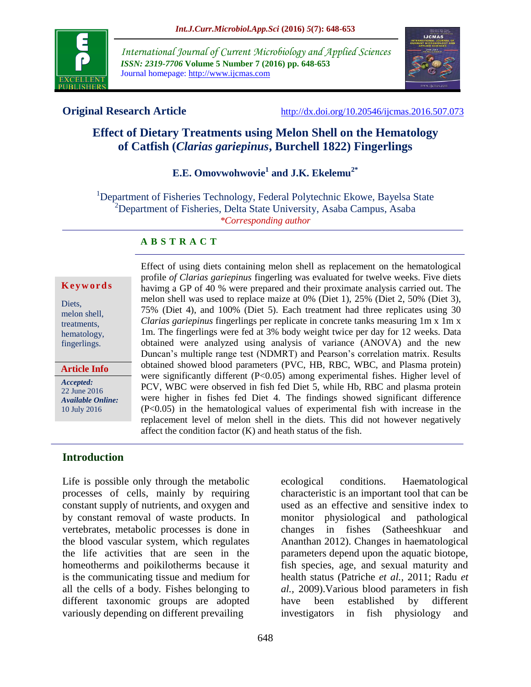

*International Journal of Current Microbiology and Applied Sciences ISSN: 2319-7706* **Volume 5 Number 7 (2016) pp. 648-653** Journal homepage: http://www.ijcmas.com



**Original Research Article** <http://dx.doi.org/10.20546/ijcmas.2016.507.073>

# **Effect of Dietary Treatments using Melon Shell on the Hematology of Catfish (***Clarias gariepinus***, Burchell 1822) Fingerlings**

# **E.E. Omovwohwovie<sup>1</sup> and J.K. Ekelemu2\***

<sup>1</sup>Department of Fisheries Technology, Federal Polytechnic Ekowe, Bayelsa State <sup>2</sup>Department of Fisheries, Delta State University, Asaba Campus, Asaba *\*Corresponding author*

#### **A B S T R A C T**

#### **K e y w o r d s**

Diets, melon shell, treatments, hematology, fingerlings.

*Accepted:*  22 June 2016 *Available Online:* 10 July 2016 **Article Info**

Effect of using diets containing melon shell as replacement on the hematological profile *of Clarias gariepinus* fingerling was evaluated for twelve weeks. Five diets havimg a GP of 40 % were prepared and their proximate analysis carried out. The melon shell was used to replace maize at 0% (Diet 1), 25% (Diet 2, 50% (Diet 3), 75% (Diet 4), and 100% (Diet 5). Each treatment had three replicates using 30 *Clarias gariepinus* fingerlings per replicate in concrete tanks measuring 1m x 1m x 1m. The fingerlings were fed at 3% body weight twice per day for 12 weeks. Data obtained were analyzed using analysis of variance (ANOVA) and the new Duncan's multiple range test (NDMRT) and Pearson's correlation matrix. Results obtained showed blood parameters (PVC, HB, RBC, WBC, and Plasma protein) were significantly different (P<0.05) among experimental fishes. Higher level of PCV, WBC were observed in fish fed Diet 5, while Hb, RBC and plasma protein were higher in fishes fed Diet 4. The findings showed significant difference (P<0.05) in the hematological values of experimental fish with increase in the replacement level of melon shell in the diets. This did not however negatively affect the condition factor (K) and heath status of the fish.

#### **Introduction**

Life is possible only through the metabolic processes of cells, mainly by requiring constant supply of nutrients, and oxygen and by constant removal of waste products. In vertebrates, metabolic processes is done in the blood vascular system, which regulates the life activities that are seen in the homeotherms and poikilotherms because it is the communicating tissue and medium for all the cells of a body. Fishes belonging to different taxonomic groups are adopted variously depending on different prevailing

ecological conditions. Haematological characteristic is an important tool that can be used as an effective and sensitive index to monitor physiological and pathological changes in fishes (Satheeshkuar and Ananthan 2012). Changes in haematological parameters depend upon the aquatic biotope, fish species, age, and sexual maturity and health status (Patriche *et al.,* 2011; Radu *et al.,* 2009).Various blood parameters in fish have been established by different investigators in fish physiology and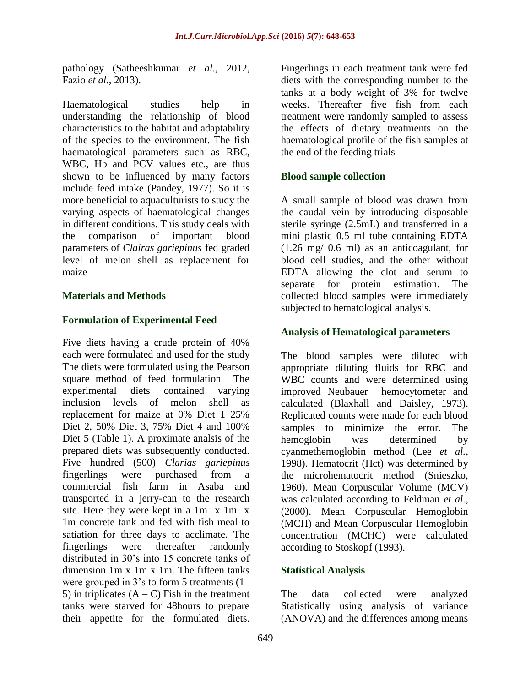pathology (Satheeshkumar *et al.,* 2012, Fazio *et al.,* 2013).

Haematological studies help in understanding the relationship of blood characteristics to the habitat and adaptability of the species to the environment. The fish haematological parameters such as RBC, WBC, Hb and PCV values etc., are thus shown to be influenced by many factors include feed intake (Pandey, 1977). So it is more beneficial to aquaculturists to study the varying aspects of haematological changes in different conditions. This study deals with the comparison of important blood parameters of *Clairas gariepinus* fed graded level of melon shell as replacement for maize

## **Materials and Methods**

## **Formulation of Experimental Feed**

Five diets having a crude protein of 40% each were formulated and used for the study The diets were formulated using the Pearson square method of feed formulation The experimental diets contained varying inclusion levels of melon shell as replacement for maize at 0% Diet 1 25% Diet 2, 50% Diet 3, 75% Diet 4 and 100% Diet 5 (Table 1). A proximate analsis of the prepared diets was subsequently conducted. Five hundred (500) *Clarias gariepinus*  fingerlings were purchased from a commercial fish farm in Asaba and transported in a jerry-can to the research site. Here they were kept in a 1m x 1m x 1m concrete tank and fed with fish meal to satiation for three days to acclimate. The fingerlings were thereafter randomly distributed in 30's into 15 concrete tanks of dimension 1m x 1m x 1m. The fifteen tanks were grouped in 3's to form 5 treatments (1– 5) in triplicates  $(A - C)$  Fish in the treatment tanks were starved for 48hours to prepare their appetite for the formulated diets.

Fingerlings in each treatment tank were fed diets with the corresponding number to the tanks at a body weight of 3% for twelve weeks. Thereafter five fish from each treatment were randomly sampled to assess the effects of dietary treatments on the haematological profile of the fish samples at the end of the feeding trials

#### **Blood sample collection**

A small sample of blood was drawn from the caudal vein by introducing disposable sterile syringe (2.5mL) and transferred in a mini plastic 0.5 ml tube containing EDTA (1.26 mg/ 0.6 ml) as an anticoagulant, for blood cell studies, and the other without EDTA allowing the clot and serum to separate for protein estimation. The collected blood samples were immediately subjected to hematological analysis.

#### **Analysis of Hematological parameters**

The blood samples were diluted with appropriate diluting fluids for RBC and WBC counts and were determined using improved Neubauer hemocytometer and calculated (Blaxhall and Daisley, 1973). Replicated counts were made for each blood samples to minimize the error. The hemoglobin was determined by cyanmethemoglobin method (Lee *et al.,* 1998). Hematocrit (Hct) was determined by the microhematocrit method (Snieszko, 1960). Mean Corpuscular Volume (MCV) was calculated according to Feldman *et al.,* (2000). Mean Corpuscular Hemoglobin (MCH) and Mean Corpuscular Hemoglobin concentration (MCHC) were calculated according to Stoskopf (1993).

## **Statistical Analysis**

The data collected were analyzed Statistically using analysis of variance (ANOVA) and the differences among means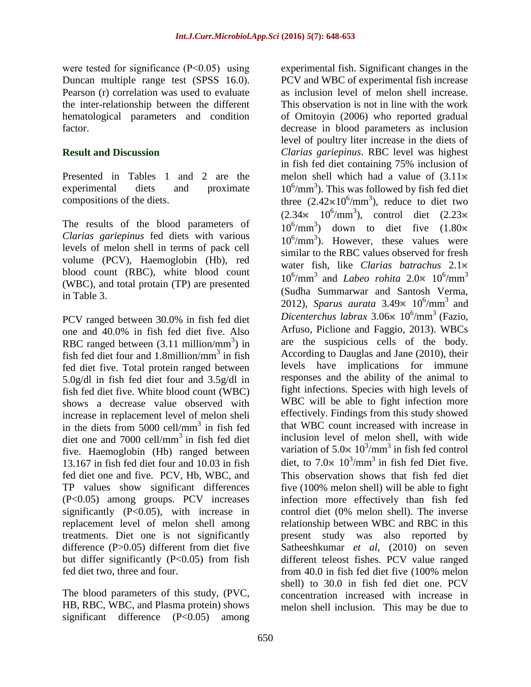were tested for significance (P<0.05) using Duncan multiple range test (SPSS 16.0). Pearson (r) correlation was used to evaluate the inter-relationship between the different hematological parameters and condition factor.

#### **Result and Discussion**

Presented in Tables 1 and 2 are the experimental diets and proximate compositions of the diets.

The results of the blood parameters of *Clarias gariepinus* fed diets with various levels of melon shell in terms of pack cell volume (PCV), Haemoglobin (Hb), red blood count (RBC), white blood count (WBC), and total protain (TP) are presented in Table 3.

PCV ranged between 30.0% in fish fed diet one and 40.0% in fish fed diet five. Also RBC ranged between  $(3.11 \text{ million/mm}^3)$  in fish fed diet four and  $1.8$ million/mm<sup>3</sup> in fish fed diet five. Total protein ranged between 5.0g/dl in fish fed diet four and 3.5g/dl in fish fed diet five. White blood count (WBC) shows a decrease value observed with increase in replacement level of melon sheli in the diets from  $5000$  cell/mm<sup>3</sup> in fish fed diet one and  $7000$  cell/mm<sup>3</sup> in fish fed diet five. Haemoglobin (Hb) ranged between 13.167 in fish fed diet four and 10.03 in fish fed diet one and five. PCV, Hb, WBC, and TP values show significant differences (P<0.05) among groups. PCV increases significantly  $(P<0.05)$ , with increase in replacement level of melon shell among treatments. Diet one is not significantly difference (P>0.05) different from diet five but differ significantly  $(P<0.05)$  from fish fed diet two, three and four.

The blood parameters of this study, (PVC, HB, RBC, WBC, and Plasma protein) shows significant difference (P<0.05) among experimental fish. Significant changes in the PCV and WBC of experimental fish increase as inclusion level of melon shell increase. This observation is not in line with the work of Omitoyin (2006) who reported gradual decrease in blood parameters as inclusion level of poultry liter increase in the diets of *Clarias gariepinus*. RBC level was highest in fish fed diet containing 75% inclusion of melon shell which had a value of  $(3.11\times$  $10^6/\text{mm}^3$ ). This was followed by fish fed diet three  $(2.42 \times 10^6/\text{mm}^3)$ , reduce to diet two  $(2.34 \times 10^6/\text{mm}^3)$ , control diet  $(2.23$  $10^6/\text{mm}^3$ ) down to diet five  $(1.80$  $10^6/\text{mm}^3$ ). However, these values were similar to the RBC values observed for fresh water fish, like *Clarias batrachus* 2.1  $10^6/\text{mm}^3$  and *Labeo rohita*  $2.0 \times 10^6/\text{mm}^3$ (Sudha Summarwar and Santosh Verma, 2012), *Sparus aurata*  $3.49 \times 10^6/\text{mm}^3$  and *Dicenterchus labrax* 3.06 $\times$  10<sup>6</sup>/mm<sup>3</sup> (Fazio, Arfuso, Piclione and Faggio, 2013). WBCs are the suspicious cells of the body. According to Dauglas and Jane (2010), their levels have implications for immune responses and the ability of the animal to fight infections. Species with high levels of WBC will be able to fight infection more effectively. Findings from this study showed that WBC count increased with increase in inclusion level of melon shell, with wide variation of  $5.0 \times 10^3/\text{mm}^3$  in fish fed control diet, to  $7.0 \times 10^3/\text{mm}^3$  in fish fed Diet five. This observation shows that fish fed diet five (100% melon shell) will be able to fight infection more effectively than fish fed control diet (0% melon shell). The inverse relationship between WBC and RBC in this present study was also reported by Satheeshkumar *et al*, (2010) on seven different teleost fishes. PCV value ranged from 40.0 in fish fed diet five (100% melon shell) to 30.0 in fish fed diet one. PCV concentration increased with increase in melon shell inclusion. This may be due to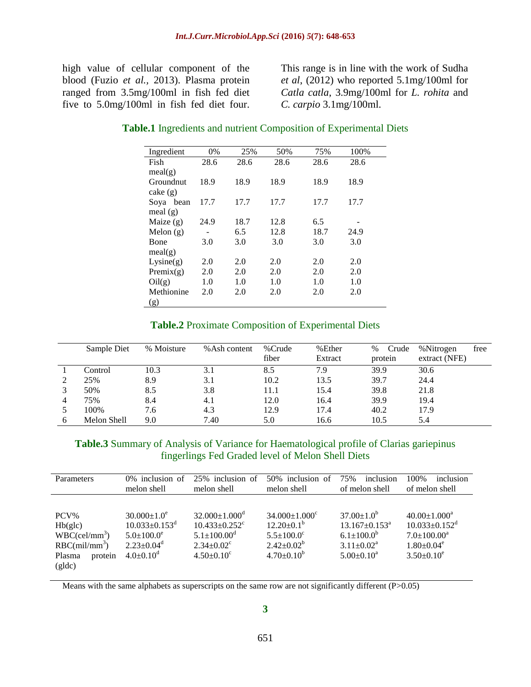high value of cellular component of the blood (Fuzio *et al.,* 2013). Plasma protein ranged from 3.5mg/100ml in fish fed diet five to 5.0mg/100ml in fish fed diet four.

This range is in line with the work of Sudha *et al*, (2012) who reported 5.1mg/100ml for *Catla catla*, 3.9mg/100ml for *L. rohita* and *C. carpio* 3.1mg/100ml.

#### **Table.1** Ingredients and nutrient Composition of Experimental Diets

| Ingredient   | 0%   | 25%  | 50%  | 75%  | 100% |  |
|--------------|------|------|------|------|------|--|
| Fish         | 28.6 | 28.6 | 28.6 | 28.6 | 28.6 |  |
| meal(g)      |      |      |      |      |      |  |
| Groundnut    | 18.9 | 18.9 | 18.9 | 18.9 | 18.9 |  |
| $\cake\ (g)$ |      |      |      |      |      |  |
| Soya bean    | 17.7 | 17.7 | 17.7 | 17.7 | 17.7 |  |
| meal $(g)$   |      |      |      |      |      |  |
| Maize $(g)$  | 24.9 | 18.7 | 12.8 | 6.5  |      |  |
| Melon $(g)$  |      | 6.5  | 12.8 | 18.7 | 24.9 |  |
| Bone         | 3.0  | 3.0  | 3.0  | 3.0  | 3.0  |  |
| meal(g)      |      |      |      |      |      |  |
| Lysine(g)    | 2.0  | 2.0  | 2.0  | 2.0  | 2.0  |  |
| Premix(g)    | 2.0  | 2.0  | 2.0  | 2.0  | 2.0  |  |
| Oil(g)       | 1.0  | 1.0  | 1.0  | 1.0  | 1.0  |  |
| Methionine   | 2.0  | 2.0  | 2.0  | 2.0  | 2.0  |  |
| (g)          |      |      |      |      |      |  |

#### **Table.2** Proximate Composition of Experimental Diets

|   | Sample Diet | % Moisture | % Ash content | %Crude<br>fiber | %Ether<br>Extract | $\%$<br>Crude<br>protein | % Nitrogen<br>free<br>extract (NFE) |
|---|-------------|------------|---------------|-----------------|-------------------|--------------------------|-------------------------------------|
|   | Control     | 10.3       | 3.1           | 8.5             | 7.9               | 39.9                     | 30.6                                |
|   | 25%         | 8.9        | 3.1           | 10.2            | 13.5              | 39.7                     | 24.4                                |
|   | 50%         | 8.5        | 3.8           | 11.1            | 15.4              | 39.8                     | 21.8                                |
|   | 75%         | 8.4        | 4.1           | 12.0            | 16.4              | 39.9                     | 19.4                                |
|   | 100%        | 7.6        | 4.3           | 12.9            | 17.4              | 40.2                     | 17.9                                |
| b | Melon Shell | 9.0        | 7.40          | 5.0             | 16.6              | 10.5                     | 5.4                                 |

#### **Table.3** Summary of Analysis of Variance for Haematological profile of Clarias gariepinus fingerlings Fed Graded level of Melon Shell Diets

| Parameters                                                                                               | 0% inclusion of<br>melon shell                                                                                                 | 25% inclusion of<br>melon shell                                                                                                                     | 50% inclusion of<br>melon shell                                                                                                 | 75%<br>inclusion<br>of melon shell                                                                                  | 100%<br>inclusion<br>of melon shell                                                                         |
|----------------------------------------------------------------------------------------------------------|--------------------------------------------------------------------------------------------------------------------------------|-----------------------------------------------------------------------------------------------------------------------------------------------------|---------------------------------------------------------------------------------------------------------------------------------|---------------------------------------------------------------------------------------------------------------------|-------------------------------------------------------------------------------------------------------------|
| PCV%<br>Hb(glc)<br>WBC(cel/mm <sup>3</sup> )<br>RBC(mil/mm <sup>3</sup> )<br>Plasma<br>protein<br>(gldc) | $30.000 \pm 1.0^e$<br>$10.033 \pm 0.153$ <sup>d</sup><br>$5.0 \pm 100.0^e$<br>$2.23 \pm 0.04$ <sup>d</sup><br>$4.0 \pm 0.10^d$ | $32.000 \pm 1.000$ <sup>d</sup><br>$10.433 \pm 0.252$ <sup>c</sup><br>$5.1 \pm 100.00^{\circ}$<br>$2.34 \pm 0.02$ <sup>c</sup><br>$4.50 \pm 0.10^c$ | $34.000 \pm 1.000^{\circ}$<br>$12.20 \pm 0.1^{\mathrm{b}}$<br>$5.5 \pm 100.0^{\circ}$<br>$2.42 \pm 0.02^b$<br>$4.70 \pm 0.10^b$ | $37.00 \pm 1.0^b$<br>$13.167 \pm 0.153$ <sup>a</sup><br>$6.1 \pm 100.0^b$<br>$3.11 \pm 0.02^a$<br>$5.00 \pm 0.10^a$ | $40.00 \pm 1.000^a$<br>$10.033 \pm 0.152^d$<br>$7.0 \pm 100.00^a$<br>$1.80 \pm 0.04^e$<br>$3.50 \pm 0.10^e$ |

Means with the same alphabets as superscripts on the same row are not significantly different (P>0.05)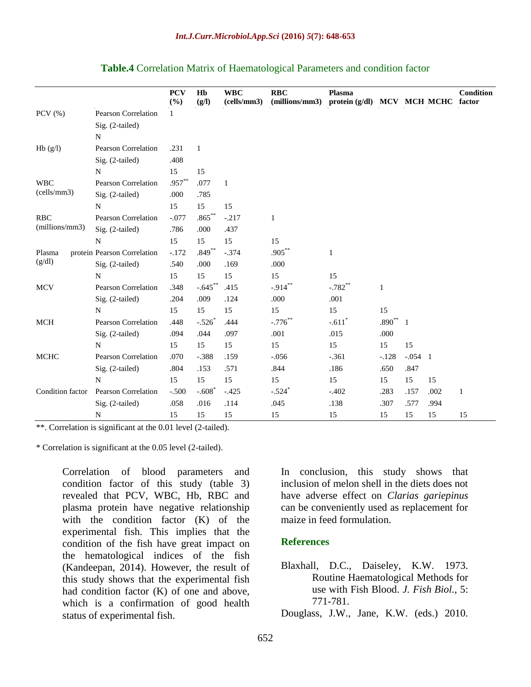|  |  |  |  |  | Table.4 Correlation Matrix of Haematological Parameters and condition factor |  |  |  |
|--|--|--|--|--|------------------------------------------------------------------------------|--|--|--|
|--|--|--|--|--|------------------------------------------------------------------------------|--|--|--|

|                  |                              | <b>PCV</b><br>$(\%)$ | Hb<br>(g/I) | <b>WBC</b><br>(cells/mm3) | RBC<br>(millions/mm3) | Plasma<br>protein (g/dl) MCV MCH MCHC factor |              |              |      | Condition    |
|------------------|------------------------------|----------------------|-------------|---------------------------|-----------------------|----------------------------------------------|--------------|--------------|------|--------------|
| PCV $(\%)$       | <b>Pearson Correlation</b>   | $\mathbf{1}$         |             |                           |                       |                                              |              |              |      |              |
|                  | Sig. (2-tailed)<br>${\bf N}$ |                      |             |                           |                       |                                              |              |              |      |              |
| Hb(g/l)          | <b>Pearson Correlation</b>   | .231                 | -1          |                           |                       |                                              |              |              |      |              |
|                  | Sig. (2-tailed)              | .408                 |             |                           |                       |                                              |              |              |      |              |
|                  | N                            | 15                   | 15          |                           |                       |                                              |              |              |      |              |
| <b>WBC</b>       | <b>Pearson Correlation</b>   | $.957***$            | .077        | $\mathbf{1}$              |                       |                                              |              |              |      |              |
| (cells/mm3)      | Sig. (2-tailed)              | .000                 | .785        |                           |                       |                                              |              |              |      |              |
|                  | N                            | 15                   | 15          | 15                        |                       |                                              |              |              |      |              |
| <b>RBC</b>       | Pearson Correlation          | $-.077$              | $.865***$   | $-.217$                   | $\mathbf{1}$          |                                              |              |              |      |              |
| (millions/mm3)   | Sig. (2-tailed)              | .786                 | .000        | .437                      |                       |                                              |              |              |      |              |
|                  | $\mathbf N$                  | 15                   | 15          | 15                        | 15                    |                                              |              |              |      |              |
| Plasma           | protein Pearson Correlation  | $-.172$              | .849        | $-.374$                   | $.905***$             | 1                                            |              |              |      |              |
| (g/dl)           | Sig. (2-tailed)              | .540                 | .000        | .169                      | .000                  |                                              |              |              |      |              |
|                  | N                            | 15                   | 15          | 15                        | 15                    | 15                                           |              |              |      |              |
| <b>MCV</b>       | <b>Pearson Correlation</b>   | .348                 | $-.645***$  | .415                      | $-.914***$            | $-.782$ **                                   | $\mathbf{1}$ |              |      |              |
|                  | Sig. (2-tailed)              | .204                 | .009        | .124                      | .000                  | .001                                         |              |              |      |              |
|                  | N                            | 15                   | 15          | 15                        | 15                    | 15                                           | 15           |              |      |              |
| <b>MCH</b>       | Pearson Correlation          | .448                 | $-.526$     | .444                      | $-.776$ **            | $-.611*$                                     | $.890**$     | $\mathbf{1}$ |      |              |
|                  | Sig. (2-tailed)              | .094                 | .044        | .097                      | .001                  | .015                                         | .000         |              |      |              |
|                  | N                            | 15                   | 15          | 15                        | 15                    | 15                                           | 15           | 15           |      |              |
| <b>MCHC</b>      | <b>Pearson Correlation</b>   | .070                 | $-.388$     | .159                      | $-.056$               | $-.361$                                      | $-.128$      | $-.054$ 1    |      |              |
|                  | Sig. (2-tailed)              | .804                 | .153        | .571                      | .844                  | .186                                         | .650         | .847         |      |              |
|                  | N                            | 15                   | 15          | 15                        | 15                    | 15                                           | 15           | 15           | 15   |              |
| Condition factor | <b>Pearson Correlation</b>   | $-.500$              | $-.608$     | $-.425$                   | $-.524$ *             | $-.402$                                      | .283         | .157         | .002 | $\mathbf{1}$ |
|                  | Sig. (2-tailed)              | .058                 | .016        | .114                      | .045                  | .138                                         | .307         | .577         | .994 |              |
|                  | N                            | 15                   | 15          | 15                        | 15                    | 15                                           | 15           | 15           | 15   | 15           |

\*\*. Correlation is significant at the 0.01 level (2-tailed).

\* Correlation is significant at the 0.05 level (2-tailed).

Correlation of blood parameters and condition factor of this study (table 3) revealed that PCV, WBC, Hb, RBC and plasma protein have negative relationship with the condition factor (K) of the experimental fish. This implies that the condition of the fish have great impact on the hematological indices of the fish (Kandeepan, 2014). However, the result of this study shows that the experimental fish had condition factor (K) of one and above, which is a confirmation of good health status of experimental fish.

In conclusion, this study shows that inclusion of melon shell in the diets does not have adverse effect on *Clarias gariepinus* can be conveniently used as replacement for maize in feed formulation.

#### **References**

Blaxhall, D.C., Daiseley, K.W. 1973. Routine Haematological Methods for use with Fish Blood. *J. Fish Biol.,* 5: 771-781.

Douglass, J.W., Jane, K.W. (eds.) 2010.